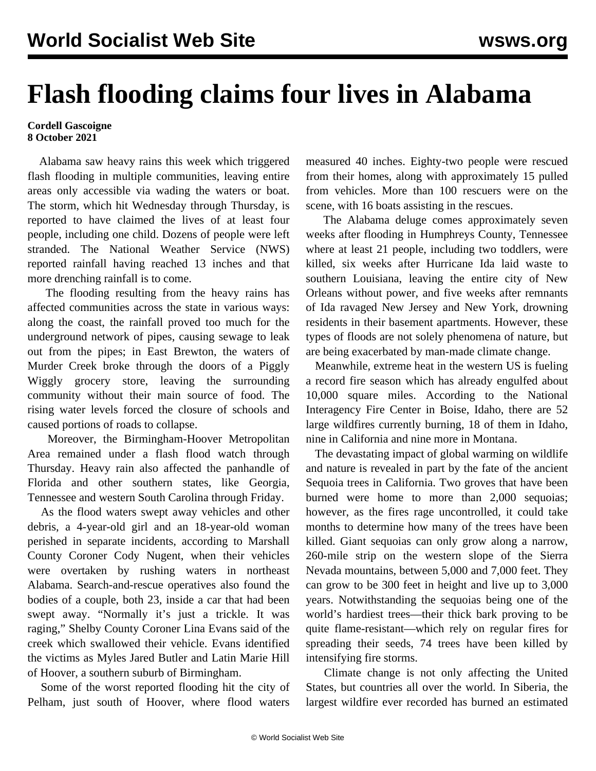## **Flash flooding claims four lives in Alabama**

## **Cordell Gascoigne 8 October 2021**

 Alabama saw heavy rains this week which triggered flash flooding in multiple communities, leaving entire areas only accessible via wading the waters or boat. The storm, which hit Wednesday through Thursday, is reported to have claimed the lives of at least four people, including one child. Dozens of people were left stranded. The National Weather Service (NWS) reported rainfall having reached 13 inches and that more drenching rainfall is to come.

 The flooding resulting from the heavy rains has affected communities across the state in various ways: along the coast, the rainfall proved too much for the underground network of pipes, causing sewage to leak out from the pipes; in East Brewton, the waters of Murder Creek broke through the doors of a Piggly Wiggly grocery store, leaving the surrounding community without their main source of food. The rising water levels forced the closure of schools and caused portions of roads to collapse.

 Moreover, the Birmingham-Hoover Metropolitan Area remained under a flash flood watch through Thursday. Heavy rain also affected the panhandle of Florida and other southern states, like Georgia, Tennessee and western South Carolina through Friday.

 As the flood waters swept away vehicles and other debris, a 4-year-old girl and an 18-year-old woman perished in separate incidents, according to Marshall County Coroner Cody Nugent, when their vehicles were overtaken by rushing waters in northeast Alabama. Search-and-rescue operatives also found the bodies of a couple, both 23, inside a car that had been swept away. "Normally it's just a trickle. It was raging," Shelby County Coroner Lina Evans said of the creek which swallowed their vehicle. Evans identified the victims as Myles Jared Butler and Latin Marie Hill of Hoover, a southern suburb of Birmingham.

 Some of the worst reported flooding hit the city of Pelham, just south of Hoover, where flood waters measured 40 inches. Eighty-two people were rescued from their homes, along with approximately 15 pulled from vehicles. More than 100 rescuers were on the scene, with 16 boats assisting in the rescues.

 The Alabama deluge comes approximately seven weeks after flooding in Humphreys County, Tennessee where at least 21 people, including two toddlers, were killed, six weeks after Hurricane Ida laid waste to southern Louisiana, leaving the entire city of New Orleans without power, and five weeks after remnants of Ida ravaged New Jersey and New York, drowning residents in their basement apartments. However, these types of floods are not solely phenomena of nature, but are being exacerbated by man-made climate change.

 Meanwhile, extreme heat in the western US is fueling a record fire season which has already engulfed about 10,000 square miles. According to the National Interagency Fire Center in Boise, Idaho, there are 52 large wildfires currently burning, 18 of them in Idaho, nine in California and nine more in Montana.

 The devastating impact of global warming on wildlife and nature is revealed in part by the fate of the ancient Sequoia trees in California. Two groves that have been burned were home to more than 2,000 sequoias; however, as the fires rage uncontrolled, it could take months to determine how many of the trees have been killed. Giant sequoias can only grow along a narrow, 260-mile strip on the western slope of the Sierra Nevada mountains, between 5,000 and 7,000 feet. They can grow to be 300 feet in height and live up to 3,000 years. Notwithstanding the sequoias being one of the world's hardiest trees—their thick bark proving to be quite flame-resistant—which rely on regular fires for spreading their seeds, 74 trees have been killed by intensifying fire storms.

 Climate change is not only affecting the United States, but countries all over the world. In Siberia, the largest wildfire ever recorded has burned an estimated